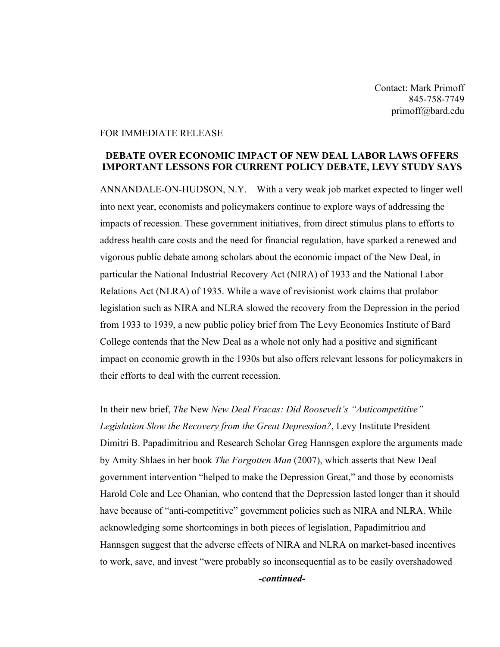Contact: Mark Primoff 845-758-7749 primoff@bard.edu

## FOR IMMEDIATE RELEASE

## **DEBATE OVER ECONOMIC IMPACT OF NEW DEAL LABOR LAWS OFFERS IMPORTANT LESSONS FOR CURRENT POLICY DEBATE, LEVY STUDY SAYS**

ANNANDALE-ON-HUDSON, N.Y.—With a very weak job market expected to linger well into next year, economists and policymakers continue to explore ways of addressing the impacts of recession. These government initiatives, from direct stimulus plans to efforts to address health care costs and the need for financial regulation, have sparked a renewed and vigorous public debate among scholars about the economic impact of the New Deal, in particular the National Industrial Recovery Act (NIRA) of 1933 and the National Labor Relations Act (NLRA) of 1935. While a wave of revisionist work claims that prolabor legislation such as NIRA and NLRA slowed the recovery from the Depression in the period from 1933 to 1939, a new public policy brief from The Levy Economics Institute of Bard College contends that the New Deal as a whole not only had a positive and significant impact on economic growth in the 1930s but also offers relevant lessons for policymakers in their efforts to deal with the current recession.

In their new brief, *The* New *New Deal Fracas: Did Roosevelt's "Anticompetitive" Legislation Slow the Recovery from the Great Depression?*, Levy Institute President Dimitri B. Papadimitriou and Research Scholar Greg Hannsgen explore the arguments made by Amity Shlaes in her book *The Forgotten Man* (2007), which asserts that New Deal government intervention "helped to make the Depression Great," and those by economists Harold Cole and Lee Ohanian, who contend that the Depression lasted longer than it should have because of "anti-competitive" government policies such as NIRA and NLRA. While acknowledging some shortcomings in both pieces of legislation, Papadimitriou and Hannsgen suggest that the adverse effects of NIRA and NLRA on market-based incentives to work, save, and invest "were probably so inconsequential as to be easily overshadowed *-continued-*